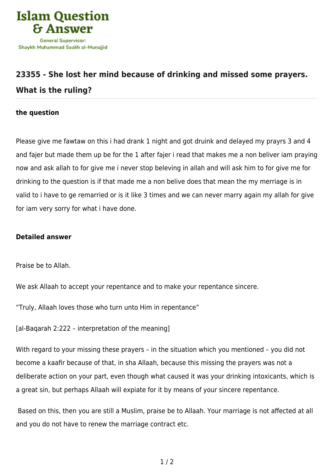

## **[23355 - She lost her mind because of drinking and missed some prayers.](https://islamqa.info/en/answers/23355/she-lost-her-mind-because-of-drinking-and-missed-some-prayers-what-is-the-ruling) [What is the ruling?](https://islamqa.info/en/answers/23355/she-lost-her-mind-because-of-drinking-and-missed-some-prayers-what-is-the-ruling)**

## **the question**

Please give me fawtaw on this i had drank 1 night and got druink and delayed my prayrs 3 and 4 and fajer but made them up be for the 1 after fajer i read that makes me a non beliver iam praying now and ask allah to for give me i never stop beleving in allah and will ask him to for give me for drinking to the question is if that made me a non belive does that mean the my merriage is in valid to i have to ge remarried or is it like 3 times and we can never marry again my allah for give for iam very sorry for what i have done.

## **Detailed answer**

Praise be to Allah.

We ask Allaah to accept your repentance and to make your repentance sincere.

"Truly, Allaah loves those who turn unto Him in repentance"

[al-Bagarah 2:222 - interpretation of the meaning]

With regard to your missing these prayers – in the situation which you mentioned – you did not become a kaafir because of that, in sha Allaah, because this missing the prayers was not a deliberate action on your part, even though what caused it was your drinking intoxicants, which is a great sin, but perhaps Allaah will expiate for it by means of your sincere repentance.

 Based on this, then you are still a Muslim, praise be to Allaah. Your marriage is not affected at all and you do not have to renew the marriage contract etc.